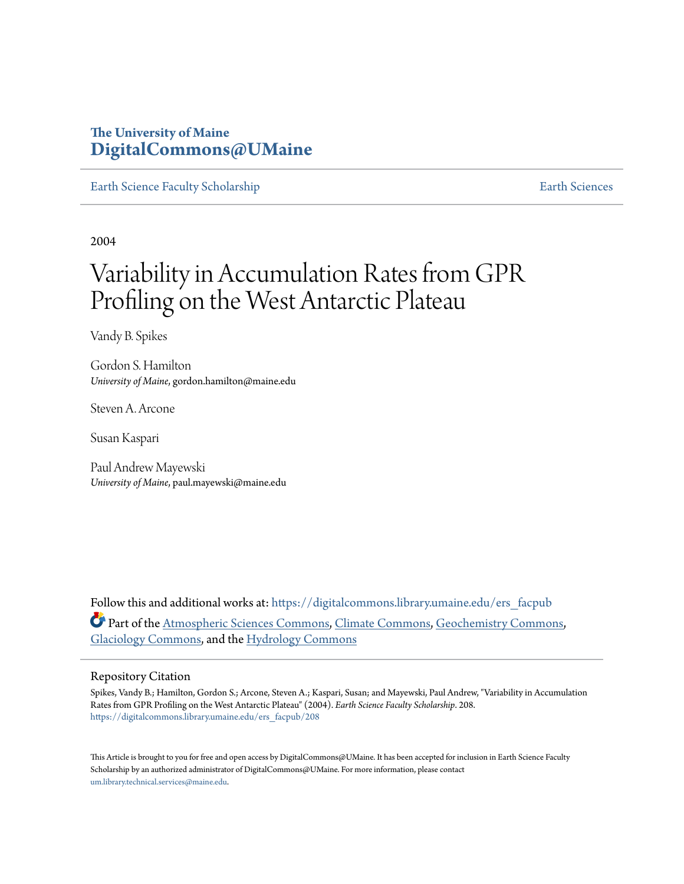### **The University of Maine [DigitalCommons@UMaine](https://digitalcommons.library.umaine.edu?utm_source=digitalcommons.library.umaine.edu%2Fers_facpub%2F208&utm_medium=PDF&utm_campaign=PDFCoverPages)**

[Earth Science Faculty Scholarship](https://digitalcommons.library.umaine.edu/ers_facpub?utm_source=digitalcommons.library.umaine.edu%2Fers_facpub%2F208&utm_medium=PDF&utm_campaign=PDFCoverPages) **[Earth Sciences](https://digitalcommons.library.umaine.edu/ers?utm_source=digitalcommons.library.umaine.edu%2Fers_facpub%2F208&utm_medium=PDF&utm_campaign=PDFCoverPages)** 

2004

# Variability in Accumulation Rates from GPR Profiling on the West Antarctic Plateau

Vandy B. Spikes

Gordon S. Hamilton *University of Maine*, gordon.hamilton@maine.edu

Steven A. Arcone

Susan Kaspari

Paul Andrew Mayewski *University of Maine*, paul.mayewski@maine.edu

Follow this and additional works at: [https://digitalcommons.library.umaine.edu/ers\\_facpub](https://digitalcommons.library.umaine.edu/ers_facpub?utm_source=digitalcommons.library.umaine.edu%2Fers_facpub%2F208&utm_medium=PDF&utm_campaign=PDFCoverPages) Part of the [Atmospheric Sciences Commons,](http://network.bepress.com/hgg/discipline/187?utm_source=digitalcommons.library.umaine.edu%2Fers_facpub%2F208&utm_medium=PDF&utm_campaign=PDFCoverPages) [Climate Commons,](http://network.bepress.com/hgg/discipline/188?utm_source=digitalcommons.library.umaine.edu%2Fers_facpub%2F208&utm_medium=PDF&utm_campaign=PDFCoverPages) [Geochemistry Commons,](http://network.bepress.com/hgg/discipline/157?utm_source=digitalcommons.library.umaine.edu%2Fers_facpub%2F208&utm_medium=PDF&utm_campaign=PDFCoverPages) [Glaciology Commons](http://network.bepress.com/hgg/discipline/159?utm_source=digitalcommons.library.umaine.edu%2Fers_facpub%2F208&utm_medium=PDF&utm_campaign=PDFCoverPages), and the [Hydrology Commons](http://network.bepress.com/hgg/discipline/1054?utm_source=digitalcommons.library.umaine.edu%2Fers_facpub%2F208&utm_medium=PDF&utm_campaign=PDFCoverPages)

#### Repository Citation

Spikes, Vandy B.; Hamilton, Gordon S.; Arcone, Steven A.; Kaspari, Susan; and Mayewski, Paul Andrew, "Variability in Accumulation Rates from GPR Profiling on the West Antarctic Plateau" (2004). *Earth Science Faculty Scholarship*. 208. [https://digitalcommons.library.umaine.edu/ers\\_facpub/208](https://digitalcommons.library.umaine.edu/ers_facpub/208?utm_source=digitalcommons.library.umaine.edu%2Fers_facpub%2F208&utm_medium=PDF&utm_campaign=PDFCoverPages)

This Article is brought to you for free and open access by DigitalCommons@UMaine. It has been accepted for inclusion in Earth Science Faculty Scholarship by an authorized administrator of DigitalCommons@UMaine. For more information, please contact [um.library.technical.services@maine.edu](mailto:um.library.technical.services@maine.edu).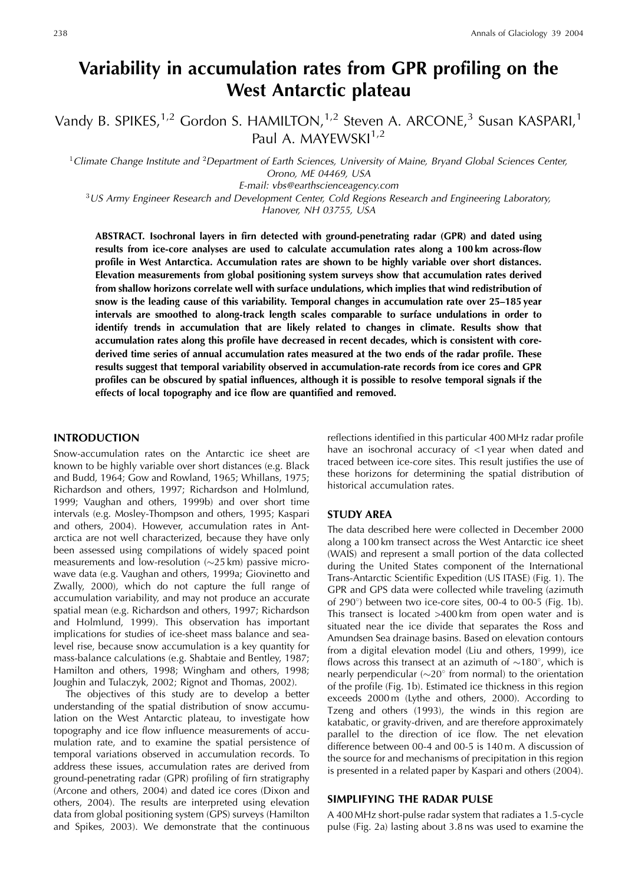## Variability in accumulation rates from GPR profiling on the **West Antarctic plateau**

Vandy B. SPIKES,<sup>1,2</sup> Gordon S. HAMILTON,<sup>1,2</sup> Steven A. ARCONE,<sup>3</sup> Susan KASPARI,<sup>1</sup> Paul A. MAYEWSKI<sup>1,2</sup>

 ${}^{1}$ Climate Change Institute and  ${}^{2}$ Department of Earth Sciences, University of Maine, Bryand Global Sciences Center, Orono, ME 04469, USA

E-mail: vbs@earthscienceagency.com

<sup>3</sup>US Army Engineer Research and Development Center, Cold Regions Research and Engineering Laboratory, Hanover, NH 03755, USA

ABSTRACT. Isochronal layers in firn detected with ground-penetrating radar (GPR) and dated using results from ice-core analyses are used to calculate accumulation rates along a 100 km across-flow profile in West Antarctica. Accumulation rates are shown to be highly variable over short distances. Elevation measurements from global positioning system surveys show that accumulation rates derived from shallow horizons correlate well with surface undulations, which implies that wind redistribution of snow is the leading cause of this variability. Temporal changes in accumulation rate over 25–185 year intervals are smoothed to along-track length scales comparable to surface undulations in order to identify trends in accumulation that are likely related to changes in climate. Results show that accumulation rates along this profile have decreased in recent decades, which is consistent with corederived time series of annual accumulation rates measured at the two ends of the radar profile. These results suggest that temporal variability observed in accumulation-rate records from ice cores and GPR profiles can be obscured by spatial influences, although it is possible to resolve temporal signals if the effects of local topography and ice flow are quantified and removed.

#### **INTRODUCTION**

Snow-accumulation rates on the Antarctic ice sheet are known to be highly variable over short distances (e.g. Black and Budd, 1964; Gow and Rowland, 1965; Whillans, 1975; Richardson and others, 1997; Richardson and Holmlund, 1999; Vaughan and others, 1999b) and over short time intervals (e.g. Mosley-Thompson and others, 1995; Kaspari and others, 2004). However, accumulation rates in Antarctica are not well characterized, because they have only been assessed using compilations of widely spaced point measurements and low-resolution  $(\sim 25 \text{ km})$  passive microwave data (e.g. Vaughan and others, 1999a; Giovinetto and Zwally, 2000), which do not capture the full range of accumulation variability, and may not produce an accurate spatial mean (e.g. Richardson and others, 1997; Richardson and Holmlund, 1999). This observation has important implications for studies of ice-sheet mass balance and sealevel rise, because snow accumulation is a key quantity for mass-balance calculations (e.g. Shabtaie and Bentley, 1987; Hamilton and others, 1998; Wingham and others, 1998; Joughin and Tulaczyk, 2002; Rignot and Thomas, 2002).

The objectives of this study are to develop a better understanding of the spatial distribution of snow accumulation on the West Antarctic plateau, to investigate how topography and ice flow influence measurements of accumulation rate, and to examine the spatial persistence of temporal variations observed in accumulation records. To address these issues, accumulation rates are derived from ground-penetrating radar (GPR) profiling of firn stratigraphy (Arcone and others, 2004) and dated ice cores (Dixon and others, 2004). The results are interpreted using elevation data from global positioning system (GPS) surveys (Hamilton and Spikes, 2003). We demonstrate that the continuous

reflections identified in this particular 400 MHz radar profile have an isochronal accuracy of <1 year when dated and traced between ice-core sites. This result justifies the use of these horizons for determining the spatial distribution of historical accumulation rates.

#### **STUDY AREA**

The data described here were collected in December 2000 along a 100 km transect across the West Antarctic ice sheet (WAIS) and represent a small portion of the data collected during the United States component of the International Trans-Antarctic Scientific Expedition (US ITASE) (Fig. 1). The GPR and GPS data were collected while traveling (azimuth of 290°) between two ice-core sites, 00-4 to 00-5 (Fig. 1b). This transect is located >400 km from open water and is situated near the ice divide that separates the Ross and Amundsen Sea drainage basins. Based on elevation contours from a digital elevation model (Liu and others, 1999), ice flows across this transect at an azimuth of  $\sim$ 180°, which is nearly perpendicular ( $\sim$ 20 $^{\circ}$  from normal) to the orientation of the profile (Fig. 1b). Estimated ice thickness in this region exceeds 2000 m (Lythe and others, 2000). According to Tzeng and others (1993), the winds in this region are katabatic, or gravity-driven, and are therefore approximately parallel to the direction of ice flow. The net elevation difference between 00-4 and 00-5 is 140 m. A discussion of the source for and mechanisms of precipitation in this region is presented in a related paper by Kaspari and others (2004).

#### **SIMPLIFYING THE RADAR PULSE**

A 400 MHz short-pulse radar system that radiates a 1.5-cycle pulse (Fig. 2a) lasting about 3.8 ns was used to examine the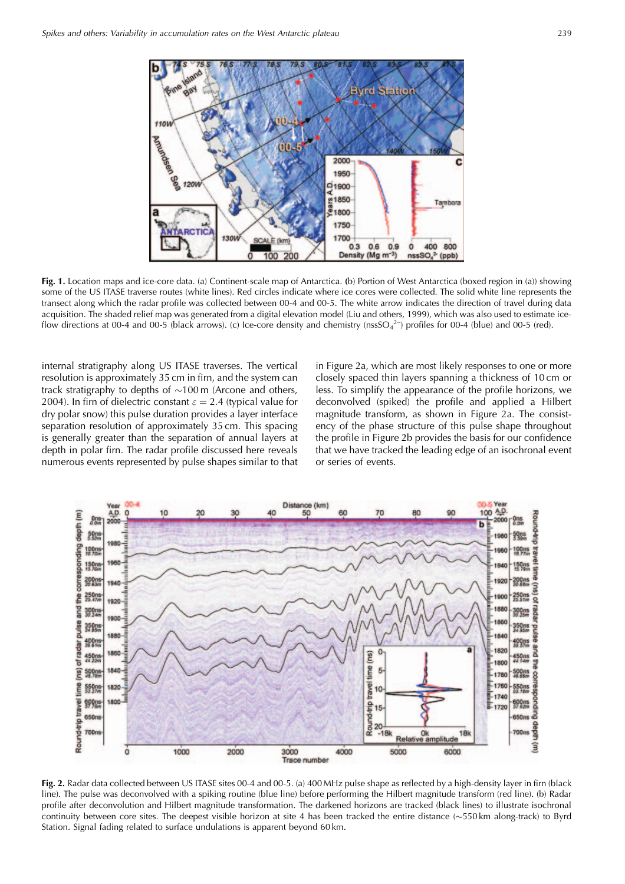

Fig. 1. Location maps and ice-core data. (a) Continent-scale map of Antarctica. (b) Portion of West Antarctica (boxed region in (a)) showing some of the US ITASE traverse routes (white lines). Red circles indicate where ice cores were collected. The solid white line represents the transect along which the radar profile was collected between 00-4 and 00-5. The white arrow indicates the direction of travel during data acquisition. The shaded relief map was generated from a digital elevation model (Liu and others, 1999), which was also used to estimate iceflow directions at 00-4 and 00-5 (black arrows). (c) Ice-core density and chemistry (nssSO $_4^2$ ) profiles for 00-4 (blue) and 00-5 (red).

internal stratigraphy along US ITASE traverses. The vertical resolution is approximately 35 cm in firn, and the system can track stratigraphy to depths of  $\sim$ 100 m (Arcone and others, 2004). In firn of dielectric constant  $\varepsilon = 2.4$  (typical value for dry polar snow) this pulse duration provides a layer interface separation resolution of approximately 35 cm. This spacing is generally greater than the separation of annual layers at depth in polar firn. The radar profile discussed here reveals numerous events represented by pulse shapes similar to that in Figure 2a, which are most likely responses to one or more closely spaced thin layers spanning a thickness of 10 cm or less. To simplify the appearance of the profile horizons, we deconvolved (spiked) the profile and applied a Hilbert magnitude transform, as shown in Figure 2a. The consistency of the phase structure of this pulse shape throughout the profile in Figure 2b provides the basis for our confidence that we have tracked the leading edge of an isochronal event or series of events.



Fig. 2. Radar data collected between US ITASE sites 00-4 and 00-5. (a) 400 MHz pulse shape as reflected by a high-density layer in firn (black line). The pulse was deconvolved with a spiking routine (blue line) before performing the Hilbert magnitude transform (red line). (b) Radar profile after deconvolution and Hilbert magnitude transformation. The darkened horizons are tracked (black lines) to illustrate isochronal continuity between core sites. The deepest visible horizon at site 4 has been tracked the entire distance  $(\sim 550 \text{ km})$  along-track) to Byrd Station. Signal fading related to surface undulations is apparent beyond 60 km.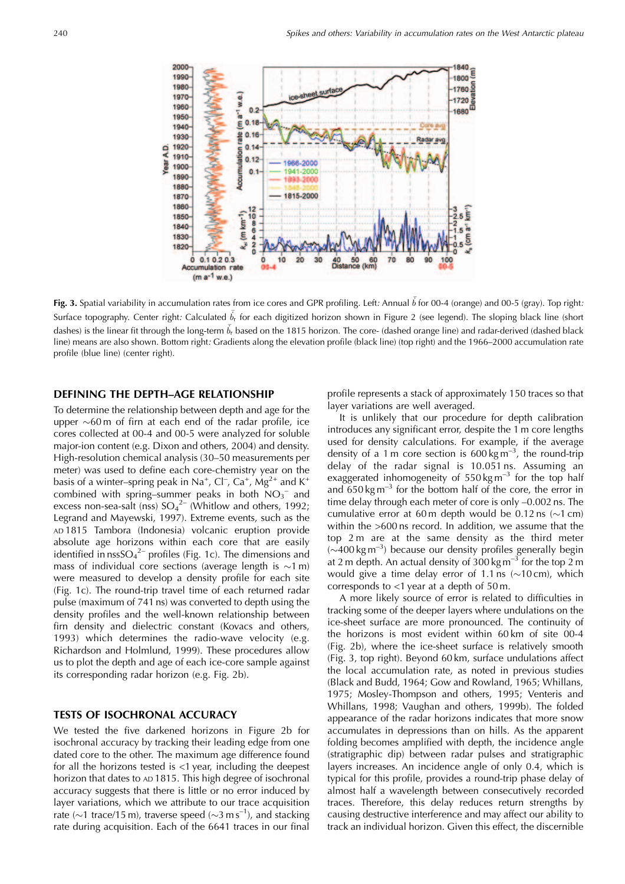

Fig. 3. Spatial variability in accumulation rates from ice cores and GPR profiling. Left: Annual  $\dot{b}$  for 00-4 (orange) and 00-5 (gray). Top right: Surface topography. Center right: Calculated  $b<sub>r</sub>$  for each digitized horizon shown in Figure 2 (see legend). The sloping black line (short dashes) is the linear fit through the long-term  $b_r$  based on the 1815 horizon. The core- (dashed orange line) and radar-derived (dashed black line) means are also shown. Bottom right: Gradients along the elevation profile (black line) (top right) and the 1966–2000 accumulation rate profile (blue line) (center right).

#### DEFINING THE DEPTH-AGE RELATIONSHIP

To determine the relationship between depth and age for the upper  $\sim 60$  m of firn at each end of the radar profile, ice cores collected at 00-4 and 00-5 were analyzed for soluble major-ion content (e.g. Dixon and others, 2004) and density. High-resolution chemical analysis (30–50 measurements per meter) was used to define each core-chemistry year on the basis of a winter-spring peak in Na<sup>+</sup>, Cl<sup>-</sup>, Ca<sup>+</sup>, Mg<sup>2+</sup> and K<sup>+</sup> combined with spring-summer peaks in both  $NO<sub>3</sub><sup>-</sup>$  and excess non-sea-salt (nss)  $SO_4^2$ <sup>-</sup> (Whitlow and others, 1992; Legrand and Mayewski, 1997). Extreme events, such as the AD 1815 Tambora (Indonesia) volcanic eruption provide absolute age horizons within each core that are easily identified in  $nssSO_4^{2-}$  profiles (Fig. 1c). The dimensions and mass of individual core sections (average length is  $\sim$ 1 m) were measured to develop a density profile for each site (Fig. 1c). The round-trip travel time of each returned radar pulse (maximum of 741 ns) was converted to depth using the density profiles and the well-known relationship between firn density and dielectric constant (Kovacs and others, 1993) which determines the radio-wave velocity (e.g. Richardson and Holmlund, 1999). These procedures allow us to plot the depth and age of each ice-core sample against its corresponding radar horizon (e.g. Fig. 2b).

#### **TESTS OF ISOCHRONAL ACCURACY**

We tested the five darkened horizons in Figure 2b for isochronal accuracy by tracking their leading edge from one dated core to the other. The maximum age difference found for all the horizons tested is  $<1$  year, including the deepest horizon that dates to AD 1815. This high degree of isochronal accuracy suggests that there is little or no error induced by layer variations, which we attribute to our trace acquisition rate ( $\sim$ 1 trace/15 m), traverse speed ( $\sim$ 3 m s<sup>-1</sup>), and stacking rate during acquisition. Each of the 6641 traces in our final

profile represents a stack of approximately 150 traces so that layer variations are well averaged.

It is unlikely that our procedure for depth calibration introduces any significant error, despite the 1 m core lengths used for density calculations. For example, if the average density of a 1 m core section is  $600 \text{ kg m}^{-3}$ , the round-trip delay of the radar signal is 10.051 ns. Assuming an exaggerated inhomogeneity of  $550 \text{ kg m}^{-3}$  for the top half and  $650 \text{ kg m}^{-3}$  for the bottom half of the core, the error in time delay through each meter of core is only -0.002 ns. The cumulative error at 60 m depth would be 0.12 ns ( $\sim$ 1 cm) within the  $>600$  ns record. In addition, we assume that the top 2 m are at the same density as the third meter  $(\sim 400 \text{ kg m}^{-3})$  because our density profiles generally begin at 2 m depth. An actual density of  $300 \text{ kg m}^{-3}$  for the top 2 m would give a time delay error of 1.1 ns  $(\sim 10 \text{ cm})$ , which corresponds to  $<$ 1 year at a depth of 50 m.

A more likely source of error is related to difficulties in tracking some of the deeper layers where undulations on the ice-sheet surface are more pronounced. The continuity of the horizons is most evident within 60 km of site 00-4 (Fig. 2b), where the ice-sheet surface is relatively smooth (Fig. 3, top right). Beyond 60 km, surface undulations affect the local accumulation rate, as noted in previous studies (Black and Budd, 1964; Gow and Rowland, 1965; Whillans, 1975; Mosley-Thompson and others, 1995; Venteris and Whillans, 1998; Vaughan and others, 1999b). The folded appearance of the radar horizons indicates that more snow accumulates in depressions than on hills. As the apparent folding becomes amplified with depth, the incidence angle (stratigraphic dip) between radar pulses and stratigraphic layers increases. An incidence angle of only 0.4, which is typical for this profile, provides a round-trip phase delay of almost half a wavelength between consecutively recorded traces. Therefore, this delay reduces return strengths by causing destructive interference and may affect our ability to track an individual horizon. Given this effect, the discernible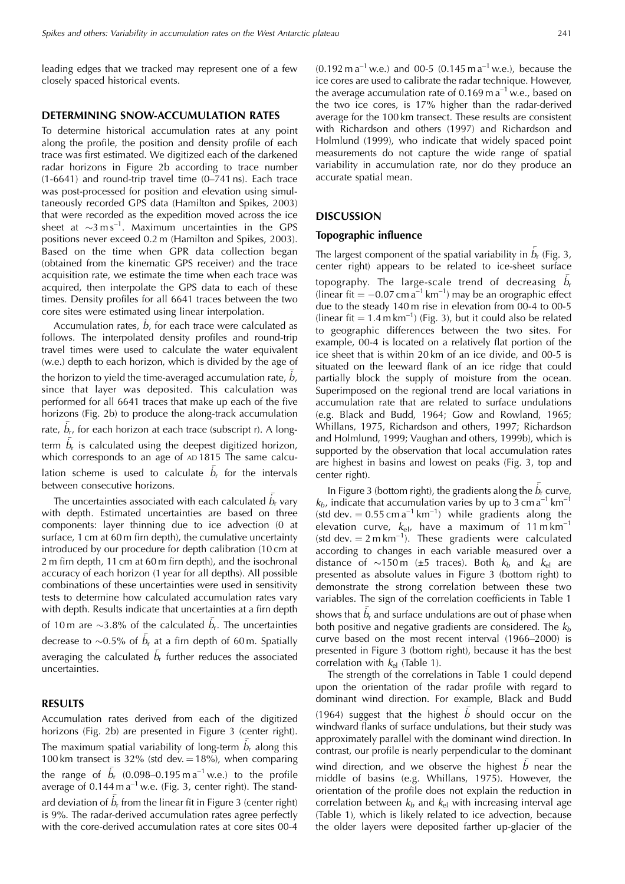leading edges that we tracked may represent one of a few closely spaced historical events.

#### DETERMINING SNOW-ACCUMULATION RATES

To determine historical accumulation rates at any point along the profile, the position and density profile of each trace was first estimated. We digitized each of the darkened radar horizons in Figure 2b according to trace number  $(1-6641)$  and round-trip travel time  $(0-741 \text{ ns})$ . Each trace was post-processed for position and elevation using simultaneously recorded GPS data (Hamilton and Spikes, 2003) that were recorded as the expedition moved across the ice sheet at  $\sim$ 3 m s<sup>-1</sup>. Maximum uncertainties in the GPS positions never exceed 0.2 m (Hamilton and Spikes, 2003). Based on the time when GPR data collection began (obtained from the kinematic GPS receiver) and the trace acquisition rate, we estimate the time when each trace was acquired, then interpolate the GPS data to each of these times. Density profiles for all 6641 traces between the two core sites were estimated using linear interpolation.

Accumulation rates,  $b$ , for each trace were calculated as follows. The interpolated density profiles and round-trip travel times were used to calculate the water equivalent (w.e.) depth to each horizon, which is divided by the age of the horizon to yield the time-averaged accumulation rate,  $b$ , since that layer was deposited. This calculation was performed for all 6641 traces that make up each of the five horizons (Fig. 2b) to produce the along-track accumulation rate,  $b_r$ , for each horizon at each trace (subscript r). A longterm  $\dot{b}_r$  is calculated using the deepest digitized horizon, which corresponds to an age of AD1815 The same calculation scheme is used to calculate  $b_r$  for the intervals between consecutive horizons.

The uncertainties associated with each calculated  $b_r$  vary with depth. Estimated uncertainties are based on three components: layer thinning due to ice advection (0 at surface, 1 cm at 60 m firn depth), the cumulative uncertainty introduced by our procedure for depth calibration (10 cm at 2 m firn depth, 11 cm at 60 m firn depth), and the isochronal accuracy of each horizon (1 year for all depths). All possible combinations of these uncertainties were used in sensitivity tests to determine how calculated accumulation rates vary with depth. Results indicate that uncertainties at a firn depth of 10 m are  $\sim$ 3.8% of the calculated  $b_r$ . The uncertainties decrease to  $\sim$ 0.5% of  $\dot{b}_r$  at a firn depth of 60 m. Spatially averaging the calculated  $\dot{b}_{r}$  further reduces the associated uncertainties.

#### **RESULTS**

Accumulation rates derived from each of the digitized horizons (Fig. 2b) are presented in Figure 3 (center right). The maximum spatial variability of long-term  $b_r$  along this 100 km transect is 32% (std dev.  $=$  18%), when comparing the range of  $\dot{b}_r$  (0.098–0.195 m a<sup>-1</sup> w.e.) to the profile average of  $0.144$  m  $a^{-1}$  w.e. (Fig. 3, center right). The standard deviation of  $b_r$  from the linear fit in Figure 3 (center right) is 9%. The radar-derived accumulation rates agree perfectly with the core-derived accumulation rates at core sites 00-4

 $(0.192 \text{ m a}^{-1} \text{ w.e.})$  and 00-5  $(0.145 \text{ m a}^{-1} \text{ w.e.})$ , because the ice cores are used to calibrate the radar technique. However, the average accumulation rate of  $0.169$  m a<sup>-1</sup> w.e., based on the two ice cores, is 17% higher than the radar-derived average for the 100 km transect. These results are consistent with Richardson and others (1997) and Richardson and Holmlund (1999), who indicate that widely spaced point measurements do not capture the wide range of spatial variability in accumulation rate, nor do they produce an accurate spatial mean.

#### **DISCUSSION**

#### Topographic influence

The largest component of the spatial variability in  $b_r$  (Fig. 3, center right) appears to be related to ice-sheet surface topography. The large-scale trend of decreasing  $b_r$ (linear fit =  $-0.07$  cm a<sup>-1</sup> km<sup>-1</sup>) may be an orographic effect due to the steady 140 m rise in elevation from 00-4 to 00-5 (linear fit =  $1.4$  m km<sup>-1</sup>) (Fig. 3), but it could also be related to geographic differences between the two sites. For example, 00-4 is located on a relatively flat portion of the ice sheet that is within 20 km of an ice divide, and 00-5 is situated on the leeward flank of an ice ridge that could partially block the supply of moisture from the ocean. Superimposed on the regional trend are local variations in accumulation rate that are related to surface undulations (e.g. Black and Budd, 1964; Gow and Rowland, 1965; Whillans, 1975, Richardson and others, 1997; Richardson and Holmlund, 1999; Vaughan and others, 1999b), which is supported by the observation that local accumulation rates are highest in basins and lowest on peaks (Fig. 3, top and center right).

In Figure 3 (bottom right), the gradients along the  $b_r$  curve,  $k_b$ , indicate that accumulation varies by up to 3 cm a<sup>-1</sup> km<sup>-1</sup> (std dev. =  $0.55$  cm a<sup>-1</sup> km<sup>-1</sup>) while gradients along the elevation curve,  $k_{el}$ , have a maximum of 11 m km<sup>-1</sup> (std dev.  $= 2 \text{ m km}^{-1}$ ). These gradients were calculated according to changes in each variable measured over a distance of  $\sim$ 150m (±5 traces). Both  $k_b$  and  $k_{el}$  are presented as absolute values in Figure 3 (bottom right) to demonstrate the strong correlation between these two variables. The sign of the correlation coefficients in Table 1 shows that  $b_r$  and surface undulations are out of phase when both positive and negative gradients are considered. The  $k_b$ curve based on the most recent interval (1966-2000) is presented in Figure 3 (bottom right), because it has the best correlation with  $k_{el}$  (Table 1).

The strength of the correlations in Table 1 could depend upon the orientation of the radar profile with regard to dominant wind direction. For example, Black and Budd  $(1964)$  suggest that the highest b should occur on the windward flanks of surface undulations, but their study was approximately parallel with the dominant wind direction. In contrast, our profile is nearly perpendicular to the dominant wind direction, and we observe the highest  $\dot{b}$  near the middle of basins (e.g. Whillans, 1975). However, the orientation of the profile does not explain the reduction in correlation between  $k_b$  and  $k_{el}$  with increasing interval age (Table 1), which is likely related to ice advection, because the older layers were deposited farther up-glacier of the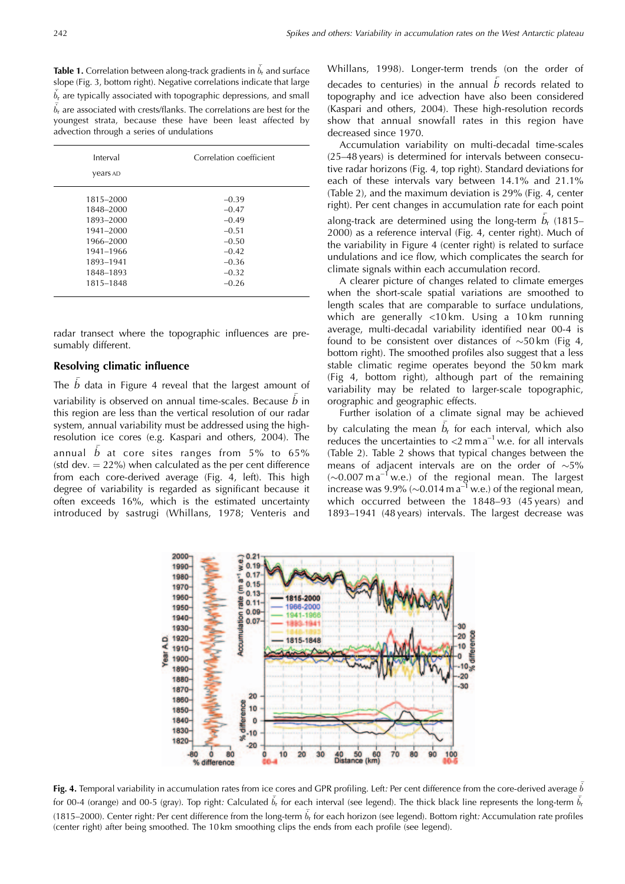**Table 1.** Correlation between along-track gradients in  $\dot{b}_r$  and surface slope (Fig. 3, bottom right). Negative correlations indicate that large  $b_r$  are typically associated with topographic depressions, and small  $\dot{b}_{r}$  are associated with crests/flanks. The correlations are best for the youngest strata, because these have been least affected by advection through a series of undulations

| Interval<br>years AD | Correlation coefficient |  |
|----------------------|-------------------------|--|
| 1815-2000            | $-0.39$                 |  |
| 1848-2000            | $-0.47$                 |  |
| 1893-2000            | $-0.49$                 |  |
| 1941-2000            | $-0.51$                 |  |
| 1966–2000            | $-0.50$                 |  |
| 1941-1966            | $-0.42$                 |  |
| 1893-1941            | $-0.36$                 |  |
| 1848-1893            | $-0.32$                 |  |
| 1815-1848            | $-0.26$                 |  |

radar transect where the topographic influences are presumably different.

#### **Resolving climatic influence**

The  $\dot{b}$  data in Figure 4 reveal that the largest amount of variability is observed on annual time-scales. Because b in this region are less than the vertical resolution of our radar system, annual variability must be addressed using the highresolution ice cores (e.g. Kaspari and others, 2004). The annual  $b$  at core sites ranges from  $5\%$  to  $65\%$ (std dev.  $= 22\%$ ) when calculated as the per cent difference from each core-derived average (Fig. 4, left). This high degree of variability is regarded as significant because it often exceeds 16%, which is the estimated uncertainty introduced by sastrugi (Whillans, 1978; Venteris and Whillans, 1998). Longer-term trends (on the order of decades to centuries) in the annual b records related to topography and ice advection have also been considered (Kaspari and others, 2004). These high-resolution records show that annual snowfall rates in this region have decreased since 1970.

Accumulation variability on multi-decadal time-scales (25–48 years) is determined for intervals between consecutive radar horizons (Fig. 4, top right). Standard deviations for each of these intervals vary between 14.1% and 21.1% (Table 2), and the maximum deviation is 29% (Fig. 4, center right). Per cent changes in accumulation rate for each point along-track are determined using the long-term  $b<sub>r</sub>$  (1815– 2000) as a reference interval (Fig. 4, center right). Much of the variability in Figure 4 (center right) is related to surface undulations and ice flow, which complicates the search for climate signals within each accumulation record.

A clearer picture of changes related to climate emerges when the short-scale spatial variations are smoothed to length scales that are comparable to surface undulations, which are generally <10km. Using a 10km running average, multi-decadal variability identified near 00-4 is found to be consistent over distances of  $\sim$ 50 km (Fig 4, bottom right). The smoothed profiles also suggest that a less stable climatic regime operates beyond the 50 km mark (Fig 4, bottom right), although part of the remaining variability may be related to larger-scale topographic, orographic and geographic effects.

Further isolation of a climate signal may be achieved by calculating the mean  $b_r$  for each interval, which also reduces the uncertainties to  $\langle 2 \text{ mm a}^{-1}$  w.e. for all intervals (Table 2). Table 2 shows that typical changes between the means of adjacent intervals are on the order of  $\sim 5\%$  $(\sim 0.007 \text{ m a}^{-1} \text{ w.e.})$  of the regional mean. The largest increase was 9.9% ( $\sim$ 0.014 m a<sup>-1</sup> w.e.) of the regional mean, which occurred between the  $1848-93$  (45 years) and 1893-1941 (48 years) intervals. The largest decrease was



Fig. 4. Temporal variability in accumulation rates from ice cores and GPR profiling. Left: Per cent difference from the core-derived average b for 00-4 (orange) and 00-5 (gray). Top right: Calculated  $b_r$  for each interval (see legend). The thick black line represents the long-term  $b_r$ (1815–2000). Center right: Per cent difference from the long-term  $b_r$  for each horizon (see legend). Bottom right: Accumulation rate profiles (center right) after being smoothed. The 10 km smoothing clips the ends from each profile (see legend).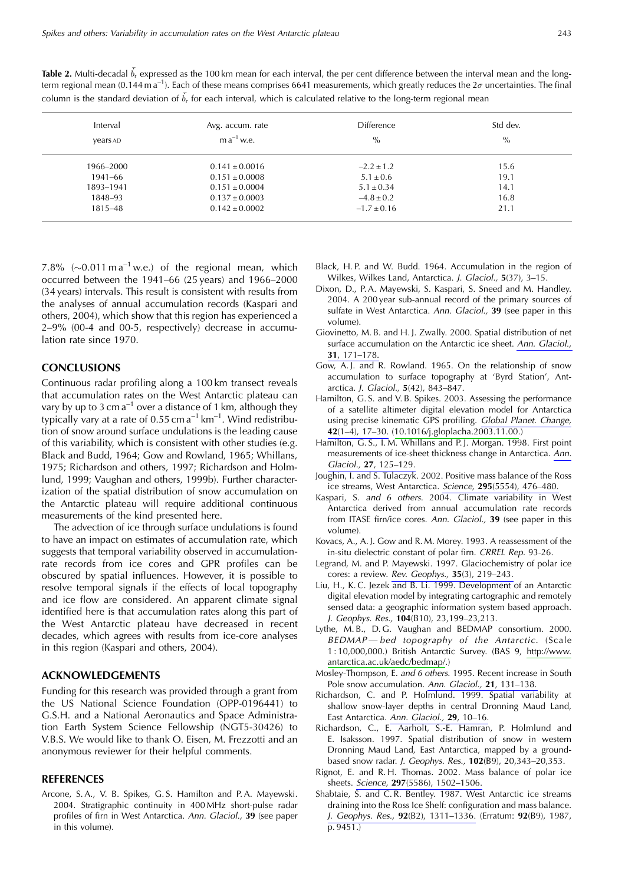| Interval<br>years AD | Avg. accum. rate<br>$m a^{-1}$ w.e. | <b>Difference</b><br>$\%$ | Std dev.<br>$\%$ |
|----------------------|-------------------------------------|---------------------------|------------------|
| 1966–2000            | $0.141 \pm 0.0016$                  | $-2.2 \pm 1.2$            | 15.6             |
| 1941–66              | $0.151 \pm 0.0008$                  | $5.1 \pm 0.6$             | 19.1             |
| 1893-1941            | $0.151 \pm 0.0004$                  | $5.1 \pm 0.34$            | 14.1             |
| 1848–93              | $0.137 \pm 0.0003$                  | $-4.8 \pm 0.2$            | 16.8             |
| 1815-48              | $0.142 \pm 0.0002$                  | $-1.7 \pm 0.16$           | 21.1             |

Table 2. Multi-decadal  $\dot{b}_r$  expressed as the 100 km mean for each interval, the per cent difference between the interval mean and the longterm regional mean (0.144 m a<sup>-1</sup>). Each of these means comprises 6641 measurements, which greatly reduces the  $2\sigma$  uncertainties. The final column is the standard deviation of  $b_t$  for each interval, which is calculated relative to the long-term regional mean

7.8% ( $\sim$ 0.011 m a<sup>-1</sup> w.e.) of the regional mean, which occurred between the 1941-66 (25 years) and 1966-2000 (34 years) intervals. This result is consistent with results from the analyses of annual accumulation records (Kaspari and others, 2004), which show that this region has experienced a  $2-9\%$  (00-4 and 00-5, respectively) decrease in accumulation rate since 1970.

#### **CONCLUSIONS**

Continuous radar profiling along a 100 km transect reveals that accumulation rates on the West Antarctic plateau can vary by up to 3 cm  $a^{-1}$  over a distance of 1 km, although they typically vary at a rate of  $0.55$  cm  $a^{-1}$  km<sup>-1</sup>. Wind redistribution of snow around surface undulations is the leading cause of this variability, which is consistent with other studies (e.g. Black and Budd, 1964; Gow and Rowland, 1965; Whillans, 1975; Richardson and others, 1997; Richardson and Holmlund, 1999; Vaughan and others, 1999b). Further characterization of the spatial distribution of snow accumulation on the Antarctic plateau will require additional continuous measurements of the kind presented here.

The advection of ice through surface undulations is found to have an impact on estimates of accumulation rate, which suggests that temporal variability observed in accumulationrate records from ice cores and GPR profiles can be obscured by spatial influences. However, it is possible to resolve temporal signals if the effects of local topography and ice flow are considered. An apparent climate signal identified here is that accumulation rates along this part of the West Antarctic plateau have decreased in recent decades, which agrees with results from ice-core analyses in this region (Kaspari and others, 2004).

#### **ACKNOWLEDGEMENTS**

Funding for this research was provided through a grant from the US National Science Foundation (OPP-0196441) to G.S.H. and a National Aeronautics and Space Administration Earth System Science Fellowship (NGT5-30426) to V.B.S. We would like to thank O. Eisen, M. Frezzotti and an anonymous reviewer for their helpful comments.

#### **REFERENCES**

Arcone, S.A., V. B. Spikes, G.S. Hamilton and P.A. Mayewski. 2004. Stratigraphic continuity in 400 MHz short-pulse radar profiles of firn in West Antarctica. Ann. Glaciol., 39 (see paper in this volume).

- Black, H.P. and W. Budd. 1964. Accumulation in the region of Wilkes, Wilkes Land, Antarctica. J. Glaciol., 5(37), 3-15.
- Dixon, D., P.A. Mayewski, S. Kaspari, S. Sneed and M. Handley. 2004. A 200 year sub-annual record of the primary sources of sulfate in West Antarctica. Ann. Glaciol., 39 (see paper in this volume).
- Giovinetto, M. B. and H. J. Zwally. 2000. Spatial distribution of net surface accumulation on the Antarctic ice sheet. Ann. Glaciol., 31, 171-178.
- Gow, A.J. and R. Rowland. 1965. On the relationship of snow accumulation to surface topography at 'Byrd Station', Antarctica. J. Glaciol., 5(42), 843-847.
- Hamilton, G.S. and V.B. Spikes. 2003. Assessing the performance of a satellite altimeter digital elevation model for Antarctica using precise kinematic GPS profiling. Global Planet. Change, 42(1-4), 17-30. (10.1016/j.gloplacha.2003.11.00.)
- Hamilton, G.S., I.M. Whillans and P.J. Morgan. 1998. First point measurements of ice-sheet thickness change in Antarctica. Ann. Glaciol., 27, 125-129.
- Joughin, I. and S. Tulaczyk. 2002. Positive mass balance of the Ross ice streams, West Antarctica. Science, 295(5554), 476-480.
- Kaspari, S. and 6 others. 2004. Climate variability in West Antarctica derived from annual accumulation rate records from ITASE firn/ice cores. Ann. Glaciol., 39 (see paper in this volume)
- Kovacs, A., A.J. Gow and R.M. Morey. 1993. A reassessment of the in-situ dielectric constant of polar firn. CRREL Rep. 93-26.
- Legrand, M. and P. Mayewski. 1997. Glaciochemistry of polar ice cores: a review. Rev. Geophys., 35(3), 219-243.
- Liu, H., K.C. Jezek and B. Li. 1999. Development of an Antarctic digital elevation model by integrating cartographic and remotely sensed data: a geographic information system based approach. J. Geophys. Res., 104(B10), 23,199-23,213.
- Lythe, M.B., D.G. Vaughan and BEDMAP consortium. 2000. BEDMAP-bed topography of the Antarctic. (Scale 1:10,000,000.) British Antarctic Survey. (BAS 9, http://www. antarctica.ac.uk/aedc/bedmap/.)
- Mosley-Thompson, E. and 6 others. 1995. Recent increase in South Pole snow accumulation. Ann. Glaciol., 21, 131-138.
- Richardson, C. and P. Holmlund. 1999. Spatial variability at shallow snow-layer depths in central Dronning Maud Land, East Antarctica. Ann. Glaciol., 29, 10-16.
- Richardson, C., E. Aarholt, S.-E. Hamran, P. Holmlund and E. Isaksson. 1997. Spatial distribution of snow in western Dronning Maud Land, East Antarctica, mapped by a groundbased snow radar. J. Geophys. Res., 102(B9), 20,343–20,353.
- Rignot, E. and R.H. Thomas. 2002. Mass balance of polar ice sheets. Science, 297(5586), 1502-1506.
- Shabtaie, S. and C.R. Bentley. 1987. West Antarctic ice streams draining into the Ross Ice Shelf: configuration and mass balance. J. Geophys. Res., 92(B2), 1311-1336. (Erratum: 92(B9), 1987,  $p.9451.$